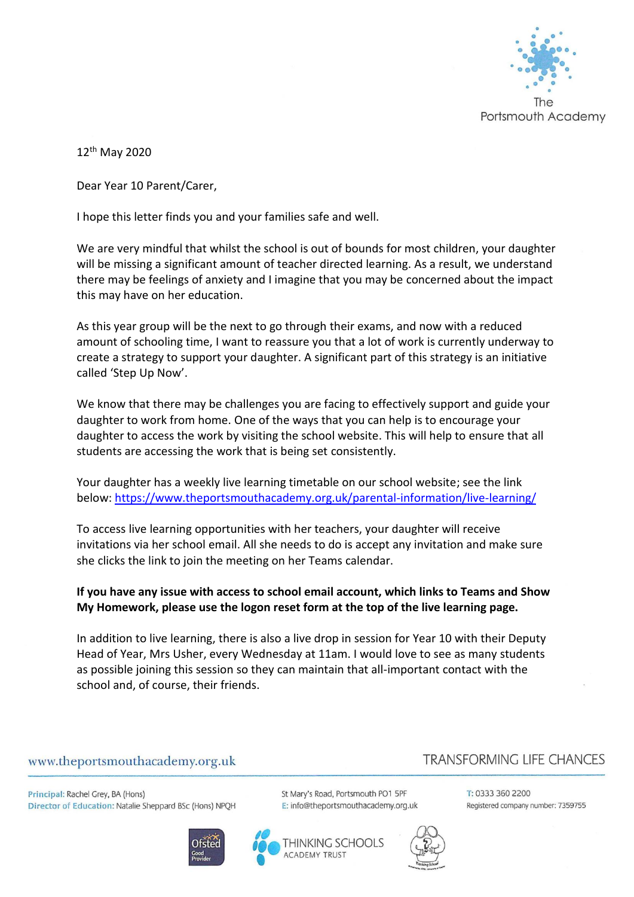

12th May 2020

Dear Year 10 Parent/Carer,

I hope this letter finds you and your families safe and well.

We are very mindful that whilst the school is out of bounds for most children, your daughter will be missing a significant amount of teacher directed learning. As a result, we understand there may be feelings of anxiety and I imagine that you may be concerned about the impact this may have on her education.

As this year group will be the next to go through their exams, and now with a reduced amount of schooling time, I want to reassure you that a lot of work is currently underway to create a strategy to support your daughter. A significant part of this strategy is an initiative called 'Step Up Now'.

We know that there may be challenges you are facing to effectively support and guide your daughter to work from home. One of the ways that you can help is to encourage your daughter to access the work by visiting the school website. This will help to ensure that all students are accessing the work that is being set consistently.

Your daughter has a weekly live learning timetable on our school website; see the link below:<https://www.theportsmouthacademy.org.uk/parental-information/live-learning/>

To access live learning opportunities with her teachers, your daughter will receive invitations via her school email. All she needs to do is accept any invitation and make sure she clicks the link to join the meeting on her Teams calendar.

### **If you have any issue with access to school email account, which links to Teams and Show My Homework, please use the logon reset form at the top of the live learning page.**

In addition to live learning, there is also a live drop in session for Year 10 with their Deputy Head of Year, Mrs Usher, every Wednesday at 11am. I would love to see as many students as possible joining this session so they can maintain that all-important contact with the school and, of course, their friends.

### www.theportsmouthacademy.org.uk

Principal: Rachel Grey, BA (Hons) Director of Education: Natalie Sheppard BSc (Hons) NPQH





**ACADEMY TRUST** 

# **TRANSFORMING LIFE CHANCES**

St Mary's Road, Portsmouth PO1 5PF E: info@theportsmouthacademy.org.uk



T: 0333 360 2200 Registered company number: 7359755